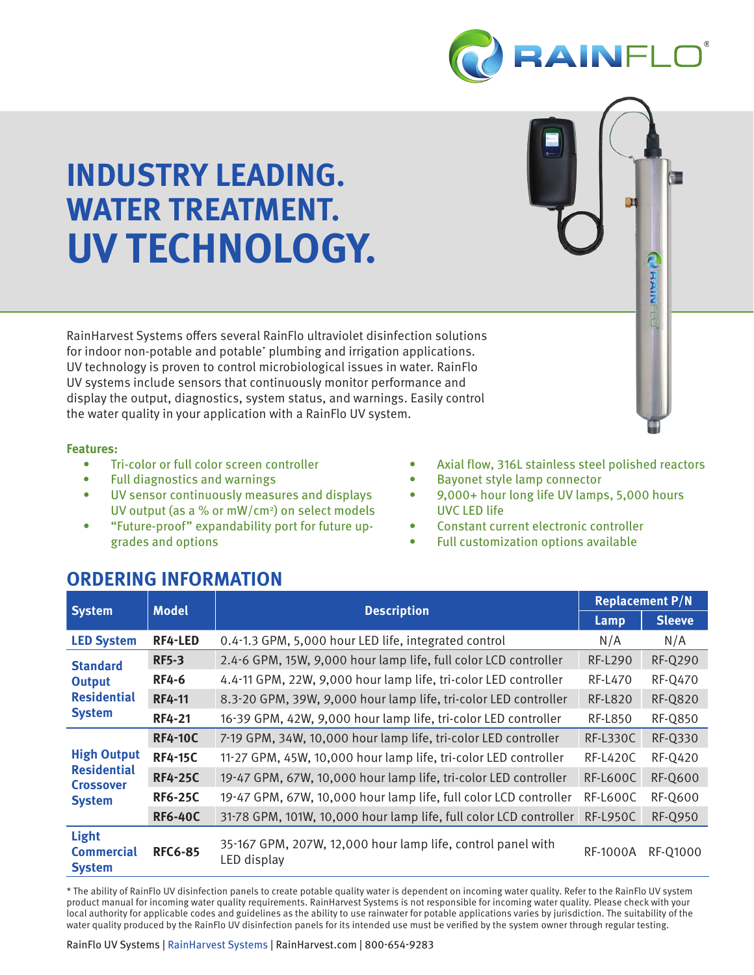

**PERININ** 

# **INDUSTRY LEADING. WATER TREATMENT. UV TECHNOLOGY.**

RainHarvest Systems offers several RainFlo ultraviolet disinfection solutions for indoor non-potable and potable<sup>\*</sup> plumbing and irrigation applications. UV technology is proven to control microbiological issues in water. RainFlo UV systems include sensors that continuously monitor performance and display the output, diagnostics, system status, and warnings. Easily control the water quality in your application with a RainFlo UV system.

#### **Features:**

- Tri-color or full color screen controller
- Full diagnostics and warnings
- UV sensor continuously measures and displays UV output (as a % or mW/cm<sup>2</sup>) on select models
- "Future-proof" expandability port for future upgrades and options
- Axial flow, 316L stainless steel polished reactors
- Bayonet style lamp connector
- 9,000+ hour long life UV lamps, 5,000 hours UVC LED life
- Constant current electronic controller
- Full customization options available

### **ORDERING INFORMATION**

|                                                                               | <b>Model</b>   | <b>Description</b>                                                         | <b>Replacement P/N</b> |                |
|-------------------------------------------------------------------------------|----------------|----------------------------------------------------------------------------|------------------------|----------------|
| <b>System</b>                                                                 |                |                                                                            | Lamp                   | <b>Sleeve</b>  |
| <b>LED System</b>                                                             | <b>RF4-LED</b> | 0.4-1.3 GPM, 5,000 hour LED life, integrated control                       | N/A                    | N/A            |
| <b>Standard</b><br><b>Output</b><br><b>Residential</b><br><b>System</b>       | <b>RF5-3</b>   | 2.4-6 GPM, 15W, 9,000 hour lamp life, full color LCD controller            | <b>RF-L290</b>         | <b>RF-Q290</b> |
|                                                                               | <b>RF4-6</b>   | 4.4-11 GPM, 22W, 9,000 hour lamp life, tri-color LED controller            | <b>RF-L470</b>         | <b>RF-Q470</b> |
|                                                                               | <b>RF4-11</b>  | 8.3-20 GPM, 39W, 9,000 hour lamp life, tri-color LED controller            | <b>RF-L820</b>         | <b>RF-Q820</b> |
|                                                                               | <b>RF4-21</b>  | 16-39 GPM, 42W, 9,000 hour lamp life, tri-color LED controller             | <b>RF-L850</b>         | <b>RF-Q850</b> |
| <b>High Output</b><br><b>Residential</b><br><b>Crossover</b><br><b>System</b> | <b>RF4-10C</b> | 7-19 GPM, 34W, 10,000 hour lamp life, tri-color LED controller             | <b>RF-L330C</b>        | RF-Q330        |
|                                                                               | <b>RF4-15C</b> | 11-27 GPM, 45W, 10,000 hour lamp life, tri-color LED controller            | <b>RF-L420C</b>        | <b>RF-Q420</b> |
|                                                                               | <b>RF4-25C</b> | 19-47 GPM, 67W, 10,000 hour lamp life, tri-color LED controller            | <b>RF-L600C</b>        | <b>RF-Q600</b> |
|                                                                               | <b>RF6-25C</b> | 19-47 GPM, 67W, 10,000 hour lamp life, full color LCD controller           | <b>RF-L600C</b>        | <b>RF-Q600</b> |
|                                                                               | <b>RF6-40C</b> | 31-78 GPM, 101W, 10,000 hour lamp life, full color LCD controller          | <b>RF-L950C</b>        | <b>RF-Q950</b> |
| <b>Light</b><br><b>Commercial</b><br><b>System</b>                            | <b>RFC6-85</b> | 35-167 GPM, 207W, 12,000 hour lamp life, control panel with<br>LED display | <b>RF-1000A</b>        | RF-01000       |

\* The ability of RainFlo UV disinfection panels to create potable quality water is dependent on incoming water quality. Refer to the RainFlo UV system product manual for incoming water quality requirements. RainHarvest Systems is not responsible for incoming water quality. Please check with your local authority for applicable codes and guidelines as the ability to use rainwater for potable applications varies by jurisdiction. The suitability of the water quality produced by the RainFlo UV disinfection panels for its intended use must be verified by the system owner through regular testing.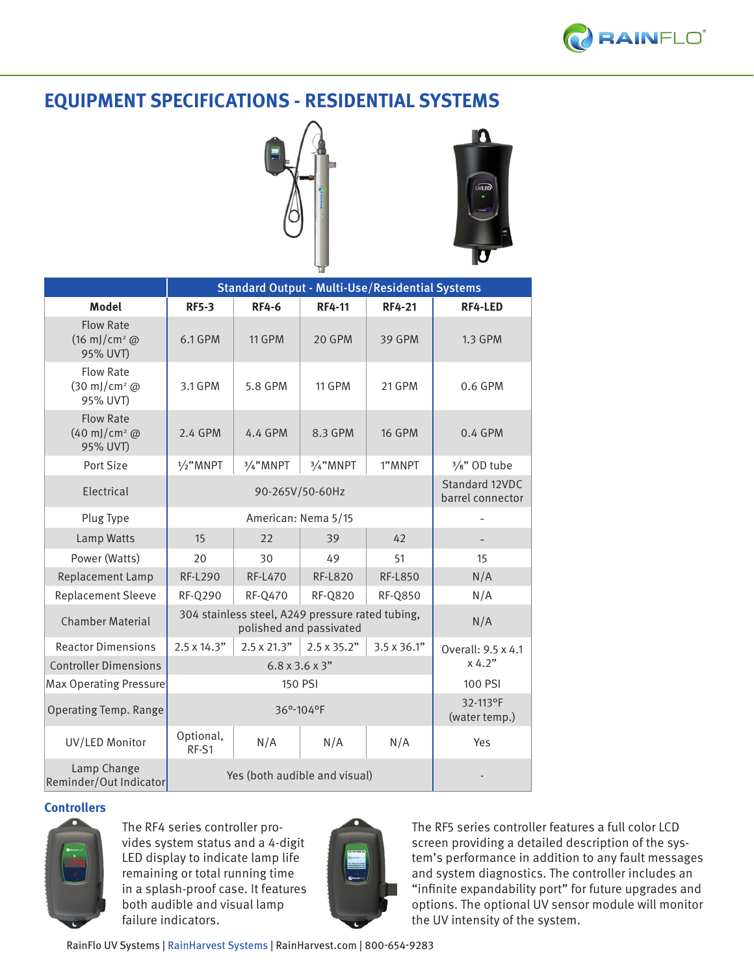### **EQUIPMENT SPECIFICATIONS - RESIDENTIAL SYSTEMS**





|                                                                |                                                  | <b>Standard Output - Multi-Use/Residential Systems</b> |                    |                    |                    |
|----------------------------------------------------------------|--------------------------------------------------|--------------------------------------------------------|--------------------|--------------------|--------------------|
| <b>Model</b>                                                   | <b>RF5-3</b>                                     | <b>RF4-6</b>                                           | <b>RF4-11</b>      | <b>RF4-21</b>      | RF4-LED            |
| <b>Flow Rate</b><br>$(16 \text{ m})/\text{cm}^2$ @<br>95% UVT) | 6.1 GPM                                          | <b>11 GPM</b>                                          | 20 GPM             | <b>39 GPM</b>      | <b>1.3 GPM</b>     |
| <b>Flow Rate</b><br>(30 mJ/cm <sup>2</sup> @<br>95% UVT)       | 3.1 GPM                                          | 5.8 GPM                                                | <b>11 GPM</b>      | 21 GPM             | 0.6 GPM            |
| <b>Flow Rate</b><br>$(40 \text{ m})/\text{cm}^2$ @<br>95% UVT) | 2.4 GPM                                          | 4.4 GPM                                                | 8.3 GPM            | <b>16 GPM</b>      | $0.4$ GPM          |
| Port Size                                                      | $1/2$ " MNPT                                     | 3/4"MNPT                                               | 3/4"MNPT           | 1"MNPT             | $3/s$ " OD tube    |
| Electrical                                                     |                                                  | Standard 12VDC<br>barrel connector                     |                    |                    |                    |
| Plug Type                                                      |                                                  |                                                        |                    |                    |                    |
| Lamp Watts                                                     | 15                                               | 22                                                     | 39                 | 42                 |                    |
| Power (Watts)                                                  | 20                                               | 30                                                     | 49                 | 51                 | 15                 |
| Replacement Lamp                                               | <b>RF-L290</b>                                   | <b>RF-L470</b>                                         | <b>RF-L820</b>     | <b>RF-L850</b>     | N/A                |
| <b>Replacement Sleeve</b>                                      | <b>RF-Q290</b>                                   | <b>RF-Q470</b>                                         | <b>RF-Q820</b>     | <b>RF-Q850</b>     | N/A                |
| <b>Chamber Material</b>                                        | 304 stainless steel, A249 pressure rated tubing, | N/A                                                    |                    |                    |                    |
| <b>Reactor Dimensions</b>                                      | $2.5 \times 14.3"$                               | $2.5 \times 21.3"$                                     | $2.5 \times 35.2"$ | $3.5 \times 36.1"$ | Overall: 9.5 x 4.1 |
| <b>Controller Dimensions</b>                                   |                                                  | x 4.2"                                                 |                    |                    |                    |
| <b>Max Operating Pressure</b>                                  |                                                  | 100 PSI                                                |                    |                    |                    |
| <b>Operating Temp. Range</b>                                   |                                                  | 32-113°F<br>(water temp.)                              |                    |                    |                    |
| UV/LED Monitor                                                 | Optional,<br>RF-S1                               | N/A                                                    | N/A                | N/A                | Yes                |
| Lamp Change<br>Reminder/Out Indicator                          |                                                  |                                                        |                    |                    |                    |

### **Controllers**



The RF4 series controller provides system status and a 4-digit LED display to indicate lamp life remaining or total running time in a splash-proof case. It features both audible and visual lamp failure indicators.



The RF5 series controller features a full color LCD screen providing a detailed description of the system's performance in addition to any fault messages and system diagnostics. The controller includes an "infinite expandability port" for future upgrades and options. The optional UV sensor module will monitor the UV intensity of the system.

RainFlo UV Systems | RainHarvest Systems | RainHarvest.com | 800-654-9283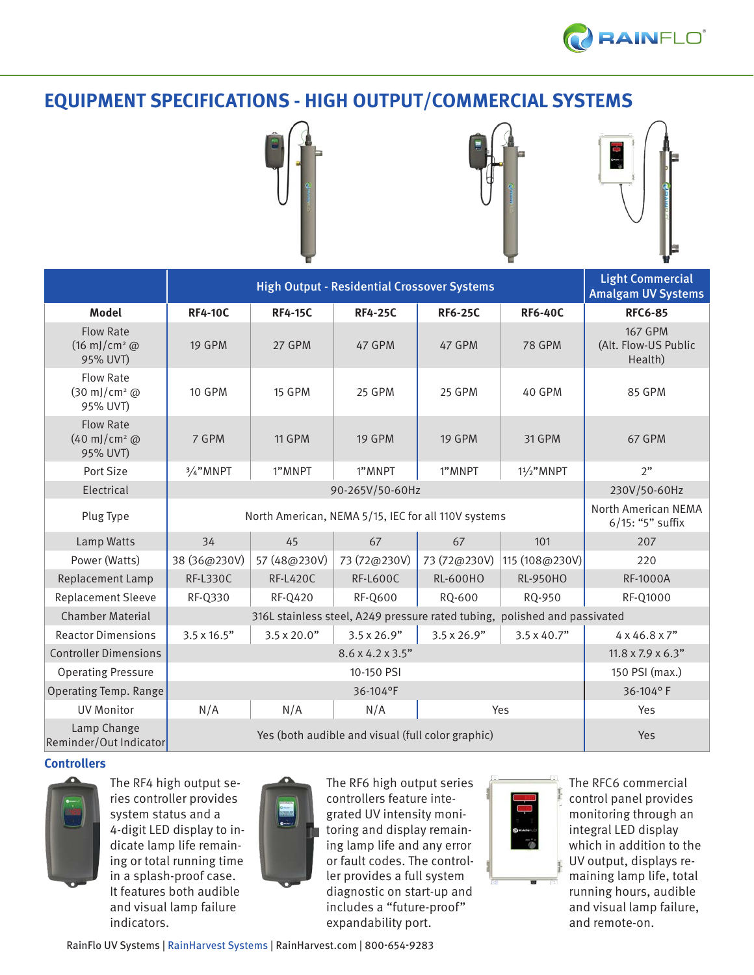

### **EQUIPMENT SPECIFICATIONS - HIGH OUTPUT/COMMERCIAL SYSTEMS**





|                                                                |                                                     | <b>Light Commercial</b><br><b>Amalgam UV Systems</b>                      |                    |                    |                    |                                                   |
|----------------------------------------------------------------|-----------------------------------------------------|---------------------------------------------------------------------------|--------------------|--------------------|--------------------|---------------------------------------------------|
| Model                                                          | <b>RF4-10C</b>                                      | <b>RF4-15C</b>                                                            | <b>RF4-25C</b>     | <b>RF6-25C</b>     | <b>RF6-40C</b>     | <b>RFC6-85</b>                                    |
| <b>Flow Rate</b><br>$(16 \text{ m})/\text{cm}^2$ @<br>95% UVT) | <b>19 GPM</b>                                       | 27 GPM                                                                    | 47 GPM             | 47 GPM             | <b>78 GPM</b>      | <b>167 GPM</b><br>(Alt. Flow-US Public<br>Health) |
| <b>Flow Rate</b><br>(30 mJ/cm <sup>2</sup> @<br>95% UVT)       | <b>10 GPM</b>                                       | <b>15 GPM</b>                                                             | <b>25 GPM</b>      | 25 GPM             | 40 GPM             | 85 GPM                                            |
| <b>Flow Rate</b><br>$(40 \text{ m})/\text{cm}^2$ @<br>95% UVT) | 7 GPM                                               | <b>11 GPM</b>                                                             | <b>19 GPM</b>      | <b>19 GPM</b>      | 31 GPM             | 67 GPM                                            |
| Port Size                                                      | 3/4"MNPT                                            | 1"MNPT                                                                    | 1"MNPT             | 1"MNPT             | $11/2$ " MNPT      | 2"                                                |
| Electrical                                                     |                                                     | 230V/50-60Hz                                                              |                    |                    |                    |                                                   |
| Plug Type                                                      | North American, NEMA 5/15, IEC for all 110V systems |                                                                           |                    |                    |                    | North American NEMA<br>6/15: "5" suffix           |
| Lamp Watts                                                     | 34                                                  | 45                                                                        | 67                 | 67                 | 101                | 207                                               |
| Power (Watts)                                                  | 38 (36@230V)                                        | 57 (48@230V)                                                              | 73 (72@230V)       | 73 (72@230V)       | 115 (108@230V)     | 220                                               |
| Replacement Lamp                                               | <b>RF-L330C</b>                                     | <b>RF-L420C</b>                                                           | <b>RF-L600C</b>    | <b>RL-600HO</b>    | <b>RL-950HO</b>    | RF-1000A                                          |
| <b>Replacement Sleeve</b>                                      | RF-Q330                                             | <b>RF-Q420</b>                                                            | <b>RF-Q600</b>     | RO-600             | RQ-950             | RF-Q1000                                          |
| <b>Chamber Material</b>                                        |                                                     | 316L stainless steel, A249 pressure rated tubing, polished and passivated |                    |                    |                    |                                                   |
| <b>Reactor Dimensions</b>                                      | $3.5 \times 16.5"$                                  | $3.5 \times 20.0"$                                                        | $3.5 \times 26.9"$ | $3.5 \times 26.9"$ | $3.5 \times 40.7"$ | $4 \times 46.8 \times 7"$                         |
| <b>Controller Dimensions</b>                                   |                                                     | $11.8 \times 7.9 \times 6.3"$                                             |                    |                    |                    |                                                   |
| <b>Operating Pressure</b>                                      |                                                     | 150 PSI (max.)                                                            |                    |                    |                    |                                                   |
| Operating Temp. Range                                          |                                                     | 36-104°F                                                                  |                    |                    |                    |                                                   |
| <b>UV Monitor</b>                                              | N/A                                                 | N/A<br>N/A<br>Yes                                                         |                    |                    | Yes                |                                                   |
| Lamp Change<br>Reminder/Out Indicator                          | Yes (both audible and visual (full color graphic)   |                                                                           |                    |                    |                    | Yes                                               |

#### **Controllers**



The RF4 high output series controller provides system status and a 4-digit LED display to indicate lamp life remaining or total running time in a splash-proof case. It features both audible and visual lamp failure indicators.



The RF6 high output series controllers feature integrated UV intensity monitoring and display remaining lamp life and any error or fault codes. The controller provides a full system diagnostic on start-up and includes a "future-proof" expandability port.



The RFC6 commercial control panel provides monitoring through an integral LED display which in addition to the UV output, displays remaining lamp life, total running hours, audible and visual lamp failure, and remote-on.

RainFlo UV Systems | RainHarvest Systems | RainHarvest.com | 800-654-9283